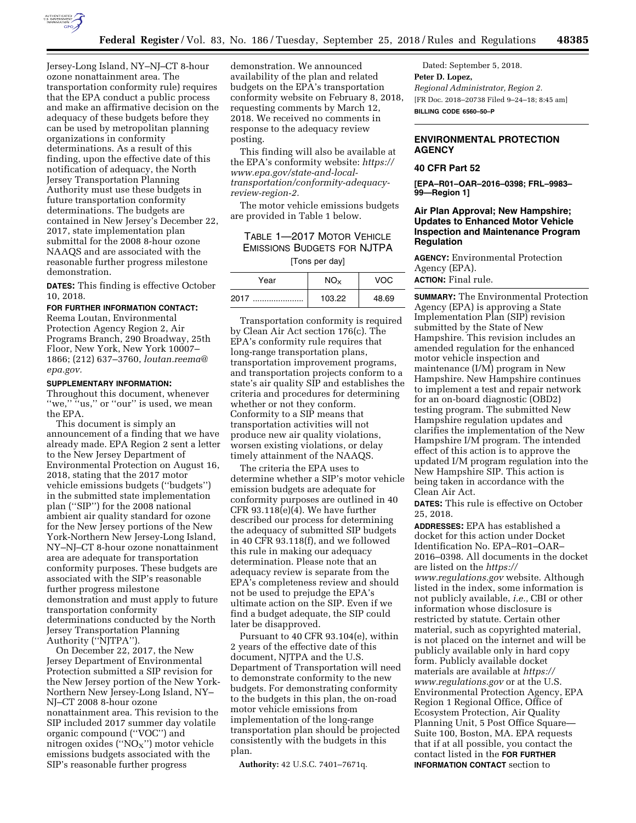

Jersey-Long Island, NY–NJ–CT 8-hour ozone nonattainment area. The transportation conformity rule) requires that the EPA conduct a public process and make an affirmative decision on the adequacy of these budgets before they can be used by metropolitan planning organizations in conformity determinations. As a result of this finding, upon the effective date of this notification of adequacy, the North Jersey Transportation Planning Authority must use these budgets in future transportation conformity determinations. The budgets are contained in New Jersey's December 22, 2017, state implementation plan submittal for the 2008 8-hour ozone NAAQS and are associated with the reasonable further progress milestone demonstration.

**DATES:** This finding is effective October 10, 2018.

# **FOR FURTHER INFORMATION CONTACT:**

Reema Loutan, Environmental Protection Agency Region 2, Air Programs Branch, 290 Broadway, 25th Floor, New York, New York 10007– 1866; (212) 637–3760, *[loutan.reema@](mailto:loutan.reema@epa.gov) [epa.gov.](mailto:loutan.reema@epa.gov)* 

#### **SUPPLEMENTARY INFORMATION:**

Throughout this document, whenever "we," "us," or "our" is used, we mean the EPA.

This document is simply an announcement of a finding that we have already made. EPA Region 2 sent a letter to the New Jersey Department of Environmental Protection on August 16, 2018, stating that the 2017 motor vehicle emissions budgets (''budgets'') in the submitted state implementation plan (''SIP'') for the 2008 national ambient air quality standard for ozone for the New Jersey portions of the New York-Northern New Jersey-Long Island, NY–NJ–CT 8-hour ozone nonattainment area are adequate for transportation conformity purposes. These budgets are associated with the SIP's reasonable further progress milestone demonstration and must apply to future transportation conformity determinations conducted by the North Jersey Transportation Planning Authority (''NJTPA'').

On December 22, 2017, the New Jersey Department of Environmental Protection submitted a SIP revision for the New Jersey portion of the New York-Northern New Jersey-Long Island, NY– NJ–CT 2008 8-hour ozone nonattainment area. This revision to the SIP included 2017 summer day volatile organic compound (''VOC'') and nitrogen oxides (" $NO<sub>X</sub>$ ") motor vehicle emissions budgets associated with the SIP's reasonable further progress

demonstration. We announced availability of the plan and related budgets on the EPA's transportation conformity website on February 8, 2018, requesting comments by March 12, 2018. We received no comments in response to the adequacy review posting.

This finding will also be available at the EPA's conformity website: *<https://> [www.epa.gov/state-and-local](https://www.epa.gov/state-and-local-transportation/conformity-adequacy-review-region-2)[transportation/conformity-adequacy](https://www.epa.gov/state-and-local-transportation/conformity-adequacy-review-region-2)[review-region-2.](https://www.epa.gov/state-and-local-transportation/conformity-adequacy-review-region-2)* 

The motor vehicle emissions budgets are provided in Table 1 below.

# TABLE 1—2017 MOTOR VEHICLE EMISSIONS BUDGETS FOR NJTPA [Tons per day]

| Year     |        | VOC   |
|----------|--------|-------|
| 2017<br> | 103.22 | 48.69 |

Transportation conformity is required by Clean Air Act section 176(c). The EPA's conformity rule requires that long-range transportation plans, transportation improvement programs, and transportation projects conform to a state's air quality SIP and establishes the criteria and procedures for determining whether or not they conform. Conformity to a SIP means that transportation activities will not produce new air quality violations, worsen existing violations, or delay timely attainment of the NAAQS.

The criteria the EPA uses to determine whether a SIP's motor vehicle emission budgets are adequate for conformity purposes are outlined in 40 CFR 93.118(e)(4). We have further described our process for determining the adequacy of submitted SIP budgets in 40 CFR 93.118(f), and we followed this rule in making our adequacy determination. Please note that an adequacy review is separate from the EPA's completeness review and should not be used to prejudge the EPA's ultimate action on the SIP. Even if we find a budget adequate, the SIP could later be disapproved.

Pursuant to 40 CFR 93.104(e), within 2 years of the effective date of this document, NJTPA and the U.S. Department of Transportation will need to demonstrate conformity to the new budgets. For demonstrating conformity to the budgets in this plan, the on-road motor vehicle emissions from implementation of the long-range transportation plan should be projected consistently with the budgets in this plan.

**Authority:** 42 U.S.C. 7401–7671q.

Dated: September 5, 2018. **Peter D. Lopez,**  *Regional Administrator, Region 2.*  [FR Doc. 2018–20738 Filed 9–24–18; 8:45 am] **BILLING CODE 6560–50–P** 

## **ENVIRONMENTAL PROTECTION AGENCY**

# **40 CFR Part 52**

**[EPA–R01–OAR–2016–0398; FRL–9983– 99—Region 1]** 

# **Air Plan Approval; New Hampshire; Updates to Enhanced Motor Vehicle Inspection and Maintenance Program Regulation**

**AGENCY:** Environmental Protection Agency (EPA). **ACTION:** Final rule.

**SUMMARY:** The Environmental Protection Agency (EPA) is approving a State Implementation Plan (SIP) revision submitted by the State of New Hampshire. This revision includes an amended regulation for the enhanced motor vehicle inspection and maintenance (I/M) program in New Hampshire. New Hampshire continues to implement a test and repair network for an on-board diagnostic (OBD2) testing program. The submitted New Hampshire regulation updates and clarifies the implementation of the New Hampshire I/M program. The intended effect of this action is to approve the updated I/M program regulation into the New Hampshire SIP. This action is being taken in accordance with the Clean Air Act.

**DATES:** This rule is effective on October 25, 2018.

**ADDRESSES:** EPA has established a docket for this action under Docket Identification No. EPA–R01–OAR– 2016–0398. All documents in the docket are listed on the *[https://](https://www.regulations.gov) [www.regulations.gov](https://www.regulations.gov)* website. Although listed in the index, some information is not publicly available, *i.e.,* CBI or other information whose disclosure is restricted by statute. Certain other material, such as copyrighted material, is not placed on the internet and will be publicly available only in hard copy form. Publicly available docket materials are available at *[https://](https://www.regulations.gov) [www.regulations.gov](https://www.regulations.gov)* or at the U.S. Environmental Protection Agency, EPA Region 1 Regional Office, Office of Ecosystem Protection, Air Quality Planning Unit, 5 Post Office Square— Suite 100, Boston, MA. EPA requests that if at all possible, you contact the contact listed in the **FOR FURTHER INFORMATION CONTACT** section to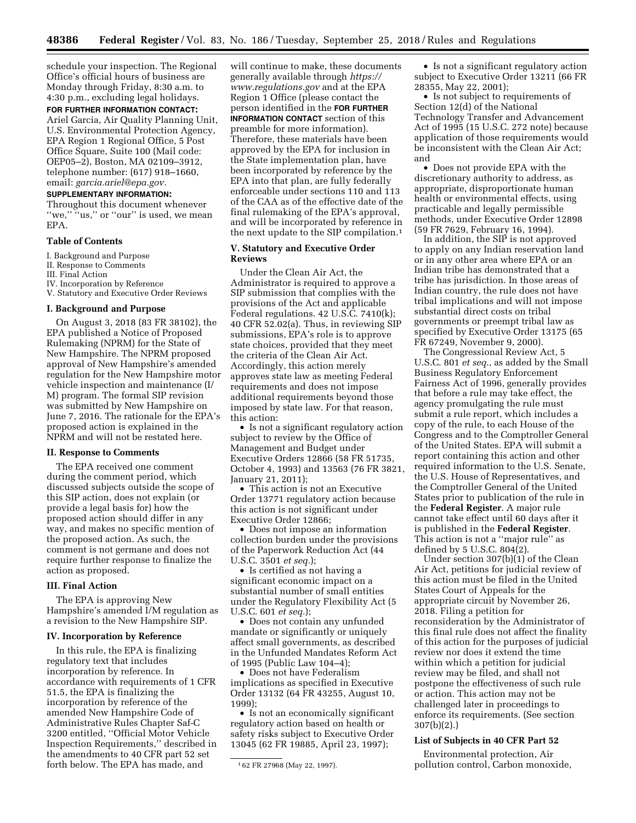schedule your inspection. The Regional Office's official hours of business are Monday through Friday, 8:30 a.m. to 4:30 p.m., excluding legal holidays.

#### **FOR FURTHER INFORMATION CONTACT:**

Ariel Garcia, Air Quality Planning Unit, U.S. Environmental Protection Agency, EPA Region 1 Regional Office, 5 Post Office Square, Suite 100 (Mail code: OEP05–2), Boston, MA 02109–3912, telephone number: (617) 918–1660, email: *[garcia.ariel@epa.gov.](mailto:garcia.ariel@epa.gov)* 

### **SUPPLEMENTARY INFORMATION:**

Throughout this document whenever<br>"we." "us," or "our" is used, we mea "us," or "our" is used, we mean EPA.

### **Table of Contents**

- I. Background and Purpose
- II. Response to Comments
- III. Final Action
- IV. Incorporation by Reference
- V. Statutory and Executive Order Reviews

#### **I. Background and Purpose**

On August 3, 2018 (83 FR 38102), the EPA published a Notice of Proposed Rulemaking (NPRM) for the State of New Hampshire. The NPRM proposed approval of New Hampshire's amended regulation for the New Hampshire motor vehicle inspection and maintenance (I/ M) program. The formal SIP revision was submitted by New Hampshire on June 7, 2016. The rationale for the EPA's proposed action is explained in the NPRM and will not be restated here.

### **II. Response to Comments**

The EPA received one comment during the comment period, which discussed subjects outside the scope of this SIP action, does not explain (or provide a legal basis for) how the proposed action should differ in any way, and makes no specific mention of the proposed action. As such, the comment is not germane and does not require further response to finalize the action as proposed.

#### **III. Final Action**

The EPA is approving New Hampshire's amended I/M regulation as a revision to the New Hampshire SIP.

### **IV. Incorporation by Reference**

In this rule, the EPA is finalizing regulatory text that includes incorporation by reference. In accordance with requirements of 1 CFR 51.5, the EPA is finalizing the incorporation by reference of the amended New Hampshire Code of Administrative Rules Chapter Saf-C 3200 entitled, ''Official Motor Vehicle Inspection Requirements,'' described in the amendments to 40 CFR part 52 set forth below. The EPA has made, and

will continue to make, these documents generally available through *[https://](https://www.regulations.gov) [www.regulations.gov](https://www.regulations.gov)* and at the EPA Region 1 Office (please contact the person identified in the **FOR FURTHER INFORMATION CONTACT** section of this preamble for more information). Therefore, these materials have been approved by the EPA for inclusion in the State implementation plan, have been incorporated by reference by the EPA into that plan, are fully federally enforceable under sections 110 and 113 of the CAA as of the effective date of the final rulemaking of the EPA's approval, and will be incorporated by reference in the next update to the SIP compilation.1

### **V. Statutory and Executive Order Reviews**

Under the Clean Air Act, the Administrator is required to approve a SIP submission that complies with the provisions of the Act and applicable Federal regulations. 42 U.S.C. 7410(k); 40 CFR 52.02(a). Thus, in reviewing SIP submissions, EPA's role is to approve state choices, provided that they meet the criteria of the Clean Air Act. Accordingly, this action merely approves state law as meeting Federal requirements and does not impose additional requirements beyond those imposed by state law. For that reason, this action:

• Is not a significant regulatory action subject to review by the Office of Management and Budget under Executive Orders 12866 (58 FR 51735, October 4, 1993) and 13563 (76 FR 3821, January 21, 2011);

• This action is not an Executive Order 13771 regulatory action because this action is not significant under Executive Order 12866;

• Does not impose an information collection burden under the provisions of the Paperwork Reduction Act (44 U.S.C. 3501 *et seq.*);

• Is certified as not having a significant economic impact on a substantial number of small entities under the Regulatory Flexibility Act (5 U.S.C. 601 *et seq.*);

• Does not contain any unfunded mandate or significantly or uniquely affect small governments, as described in the Unfunded Mandates Reform Act of 1995 (Public Law 104–4);

• Does not have Federalism implications as specified in Executive Order 13132 (64 FR 43255, August 10, 1999);

• Is not an economically significant regulatory action based on health or safety risks subject to Executive Order 13045 (62 FR 19885, April 23, 1997);

• Is not a significant regulatory action subject to Executive Order 13211 (66 FR 28355, May 22, 2001);

• Is not subject to requirements of Section 12(d) of the National Technology Transfer and Advancement Act of 1995 (15 U.S.C. 272 note) because application of those requirements would be inconsistent with the Clean Air Act; and

• Does not provide EPA with the discretionary authority to address, as appropriate, disproportionate human health or environmental effects, using practicable and legally permissible methods, under Executive Order 12898 (59 FR 7629, February 16, 1994).

In addition, the SIP is not approved to apply on any Indian reservation land or in any other area where EPA or an Indian tribe has demonstrated that a tribe has jurisdiction. In those areas of Indian country, the rule does not have tribal implications and will not impose substantial direct costs on tribal governments or preempt tribal law as specified by Executive Order 13175 (65 FR 67249, November 9, 2000).

The Congressional Review Act, 5 U.S.C. 801 *et seq.,* as added by the Small Business Regulatory Enforcement Fairness Act of 1996, generally provides that before a rule may take effect, the agency promulgating the rule must submit a rule report, which includes a copy of the rule, to each House of the Congress and to the Comptroller General of the United States. EPA will submit a report containing this action and other required information to the U.S. Senate, the U.S. House of Representatives, and the Comptroller General of the United States prior to publication of the rule in the **Federal Register**. A major rule cannot take effect until 60 days after it is published in the **Federal Register**. This action is not a ''major rule'' as defined by 5 U.S.C. 804(2).

Under section 307(b)(1) of the Clean Air Act, petitions for judicial review of this action must be filed in the United States Court of Appeals for the appropriate circuit by November 26, 2018. Filing a petition for reconsideration by the Administrator of this final rule does not affect the finality of this action for the purposes of judicial review nor does it extend the time within which a petition for judicial review may be filed, and shall not postpone the effectiveness of such rule or action. This action may not be challenged later in proceedings to enforce its requirements. (See section 307(b)(2).)

#### **List of Subjects in 40 CFR Part 52**

Environmental protection, Air pollution control, Carbon monoxide,

<sup>1</sup> 62 FR 27968 (May 22, 1997).